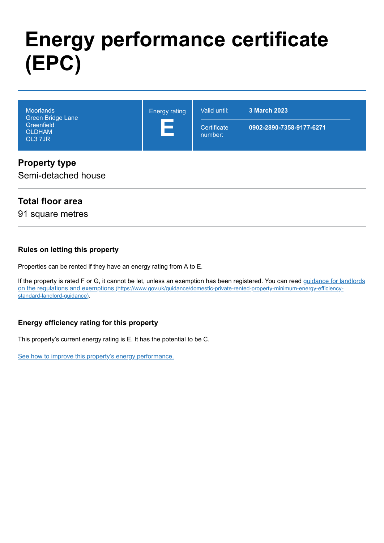# **Energy performance certificate (EPC)**

| <b>Moorlands</b><br>Green Bridge Lane<br><b>Greenfield</b><br><b>OLDHAM</b><br>OL3 7JR | <b>Energy rating</b><br><u>a sa sa</u> | Valid until:           | 3 March 2023             |
|----------------------------------------------------------------------------------------|----------------------------------------|------------------------|--------------------------|
|                                                                                        |                                        | Certificate<br>number: | 0902-2890-7358-9177-6271 |

#### **Property type**

Semi-detached house

#### **Total floor area**

91 square metres

#### **Rules on letting this property**

Properties can be rented if they have an energy rating from A to E.

[If the property is rated F or G, it cannot be let, unless an exemption has been registered. You can read guidance for landlords](https://www.gov.uk/guidance/domestic-private-rented-property-minimum-energy-efficiency-standard-landlord-guidance) on the regulations and exemptions (https://www.gov.uk/guidance/domestic-private-rented-property-minimum-energy-efficiencystandard-landlord-guidance).

#### **Energy efficiency rating for this property**

This property's current energy rating is E. It has the potential to be C.

[See how to improve this property's energy performance.](#page-3-0)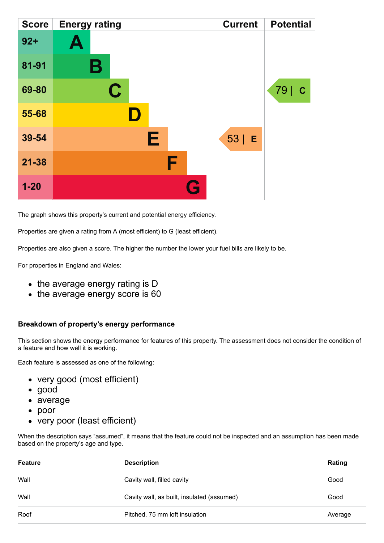| <b>Score</b> | <b>Energy rating</b> | <b>Current</b> | <b>Potential</b>    |
|--------------|----------------------|----------------|---------------------|
| $92 +$       | A                    |                |                     |
| 81-91        | В                    |                |                     |
| 69-80        | $\mathbf C$          |                | 79  <br>$\mathbf C$ |
| 55-68        |                      |                |                     |
| 39-54        | Е                    | $53$   E       |                     |
| $21 - 38$    | F                    |                |                     |
| $1 - 20$     | Q                    |                |                     |

The graph shows this property's current and potential energy efficiency.

Properties are given a rating from A (most efficient) to G (least efficient).

Properties are also given a score. The higher the number the lower your fuel bills are likely to be.

For properties in England and Wales:

- the average energy rating is D
- the average energy score is 60

#### **Breakdown of property's energy performance**

This section shows the energy performance for features of this property. The assessment does not consider the condition of a feature and how well it is working.

Each feature is assessed as one of the following:

- very good (most efficient)
- good
- average
- poor
- very poor (least efficient)

When the description says "assumed", it means that the feature could not be inspected and an assumption has been made based on the property's age and type.

| <b>Feature</b> | <b>Description</b>                         | Rating  |
|----------------|--------------------------------------------|---------|
| Wall           | Cavity wall, filled cavity                 | Good    |
| Wall           | Cavity wall, as built, insulated (assumed) | Good    |
| Roof           | Pitched, 75 mm loft insulation             | Average |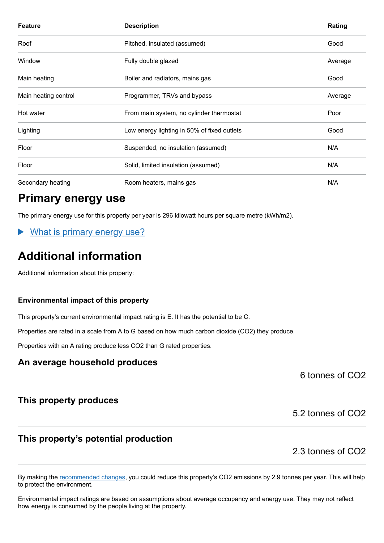| <b>Feature</b>       | <b>Description</b>                          | Rating  |
|----------------------|---------------------------------------------|---------|
| Roof                 | Pitched, insulated (assumed)                | Good    |
| Window               | Fully double glazed                         | Average |
| Main heating         | Boiler and radiators, mains gas             | Good    |
| Main heating control | Programmer, TRVs and bypass                 | Average |
| Hot water            | From main system, no cylinder thermostat    | Poor    |
| Lighting             | Low energy lighting in 50% of fixed outlets | Good    |
| Floor                | Suspended, no insulation (assumed)          | N/A     |
| Floor                | Solid, limited insulation (assumed)         | N/A     |
| Secondary heating    | Room heaters, mains gas                     | N/A     |

## **Primary energy use**

The primary energy use for this property per year is 296 kilowatt hours per square metre (kWh/m2).

What is primary energy use?

# **Additional information**

Additional information about this property:

#### **Environmental impact of this property**

This property's current environmental impact rating is E. It has the potential to be C.

Properties are rated in a scale from A to G based on how much carbon dioxide (CO2) they produce.

Properties with an A rating produce less CO2 than G rated properties.

#### **An average household produces**

6 tonnes of CO2

#### **This property produces**

5.2 tonnes of CO2

### **This property's potential production**

2.3 tonnes of CO2

By making the [recommended changes,](#page-3-0) you could reduce this property's CO2 emissions by 2.9 tonnes per year. This will help to protect the environment.

Environmental impact ratings are based on assumptions about average occupancy and energy use. They may not reflect how energy is consumed by the people living at the property.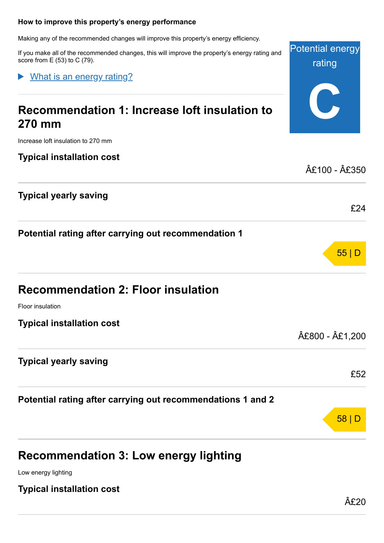#### <span id="page-3-0"></span>**How to improve this property's energy performance**

Making any of the recommended changes will improve this property's energy efficiency.

If you make all of the recommended changes, this will improve the property's energy rating and score from E (53) to C (79).

What is an energy rating?

# **C Recommendation 1: Increase loft insulation to 270 mm** Increase loft insulation to 270 mm **Typical installation cost** £100 - £350 **Typical yearly saving** £24 **Potential rating after carrying out recommendation 1** 55 | D **Recommendation 2: Floor insulation** Floor insulation **Typical installation cost** £800 - £1,200 **Typical yearly saving** £52 **Potential rating after carrying out recommendations 1 and 2** 58 | D **Recommendation 3: Low energy lighting**

Low energy lighting

**Typical installation cost**

Potential energy

rating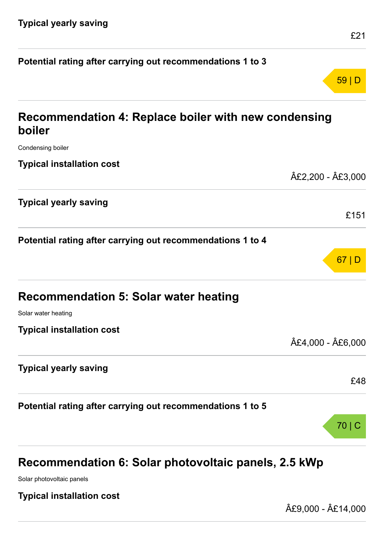| Potential rating after carrying out recommendations 1 to 3     |                 |
|----------------------------------------------------------------|-----------------|
|                                                                | 59 D            |
| Recommendation 4: Replace boiler with new condensing<br>boiler |                 |
| Condensing boiler                                              |                 |
| <b>Typical installation cost</b>                               |                 |
|                                                                | £2,200 - £3,000 |
| <b>Typical yearly saving</b>                                   |                 |
|                                                                | £151            |
| Potential rating after carrying out recommendations 1 to 4     |                 |
|                                                                | 67 D            |
| <b>Recommendation 5: Solar water heating</b>                   |                 |
| Solar water heating                                            |                 |
| <b>Typical installation cost</b>                               |                 |
|                                                                | £4,000 - £6,000 |
| <b>Typical yearly saving</b>                                   |                 |
|                                                                | £48             |
| Potential rating after carrying out recommendations 1 to 5     |                 |
|                                                                | 70              |
|                                                                |                 |
|                                                                |                 |

# **Recommendation 6: Solar photovoltaic panels, 2.5 kWp**

Solar photovoltaic panels

**Typical installation cost**

£9,000 - £14,000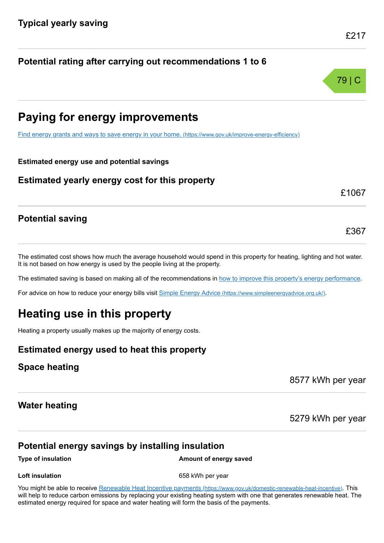**Potential rating after carrying out recommendations 1 to 6**

# **Paying for energy improvements**

[Find energy grants and ways to save energy in your home.](https://www.gov.uk/improve-energy-efficiency) (https://www.gov.uk/improve-energy-efficiency)

**Estimated energy use and potential savings**

**Estimated yearly energy cost for this property**

#### **Potential saving**

The estimated cost shows how much the average household would spend in this property for heating, lighting and hot water. It is not based on how energy is used by the people living at the property.

The estimated saving is based on making all of the recommendations in [how to improve this property's energy performance.](#page-3-0)

For advice on how to reduce your energy bills visit Simple Energy Advice [\(https://www.simpleenergyadvice.org.uk/\)](https://www.simpleenergyadvice.org.uk/).

# **Heating use in this property**

Heating a property usually makes up the majority of energy costs.

#### **Estimated energy used to heat this property**

#### **Space heating**

8577 kWh per year

#### **Water heating**

5279 kWh per year

#### **Potential energy savings by installing insulation**

#### **Type of insulation Amount of energy saved**

**Loft insulation** 658 kWh per year

You might be able to receive Renewable Heat Incentive payments [\(https://www.gov.uk/domestic-renewable-heat-incentive\)](https://www.gov.uk/domestic-renewable-heat-incentive). This will help to reduce carbon emissions by replacing your existing heating system with one that generates renewable heat. The estimated energy required for space and water heating will form the basis of the payments.



£1067

£367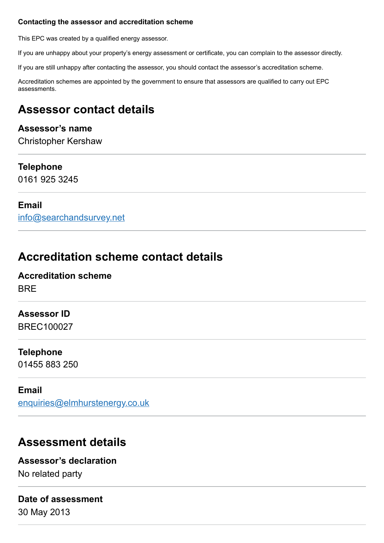#### **Contacting the assessor and accreditation scheme**

This EPC was created by a qualified energy assessor.

If you are unhappy about your property's energy assessment or certificate, you can complain to the assessor directly.

If you are still unhappy after contacting the assessor, you should contact the assessor's accreditation scheme.

Accreditation schemes are appointed by the government to ensure that assessors are qualified to carry out EPC assessments.

# **Assessor contact details**

#### **Assessor's name**

Christopher Kershaw

#### **Telephone**

0161 925 3245

#### **Email**

[info@searchandsurvey.net](mailto:info@searchandsurvey.net)

# **Accreditation scheme contact details**

#### **Accreditation scheme** BRE

#### **Assessor ID**

BREC100027

#### **Telephone**

01455 883 250

#### **Email**

[enquiries@elmhurstenergy.co.uk](mailto:enquiries@elmhurstenergy.co.uk)

# **Assessment details**

#### **Assessor's declaration**

No related party

### **Date of assessment**

30 May 2013